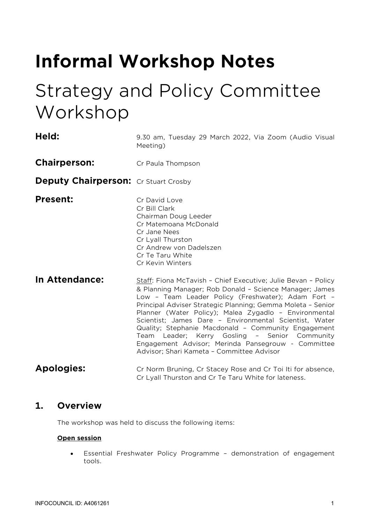# **Informal Workshop Notes**

## Strategy and Policy Committee Workshop

| Held:                                       | 9.30 am, Tuesday 29 March 2022, Via Zoom (Audio Visual<br>Meeting)                                                                                                                                                                                                                                                                                                                                                                                                                                                                                                          |  |  |  |
|---------------------------------------------|-----------------------------------------------------------------------------------------------------------------------------------------------------------------------------------------------------------------------------------------------------------------------------------------------------------------------------------------------------------------------------------------------------------------------------------------------------------------------------------------------------------------------------------------------------------------------------|--|--|--|
| <b>Chairperson:</b>                         | Cr Paula Thompson                                                                                                                                                                                                                                                                                                                                                                                                                                                                                                                                                           |  |  |  |
| <b>Deputy Chairperson:</b> Cr Stuart Crosby |                                                                                                                                                                                                                                                                                                                                                                                                                                                                                                                                                                             |  |  |  |
| <b>Present:</b>                             | Cr David Love<br>Cr Bill Clark<br>Chairman Doug Leeder<br>Cr Matemoana McDonald<br>Cr Jane Nees<br>Cr Lyall Thurston<br>Cr Andrew von Dadelszen<br>Cr Te Taru White<br>Cr Kevin Winters                                                                                                                                                                                                                                                                                                                                                                                     |  |  |  |
| In Attendance:                              | Staff: Fiona McTavish - Chief Executive; Julie Bevan - Policy<br>& Planning Manager; Rob Donald - Science Manager; James<br>Low - Team Leader Policy (Freshwater); Adam Fort -<br>Principal Adviser Strategic Planning; Gemma Moleta - Senior<br>Planner (Water Policy); Malea Zygadlo - Environmental<br>Scientist; James Dare - Environmental Scientist, Water<br>Quality; Stephanie Macdonald - Community Engagement<br>Team Leader; Kerry Gosling - Senior Community<br>Engagement Advisor; Merinda Pansegrouw - Committee<br>Advisor; Shari Kameta - Committee Advisor |  |  |  |
| <b>Apologies:</b>                           | Cr Norm Bruning, Cr Stacey Rose and Cr Toi Iti for absence,<br>Cr Lyall Thurston and Cr Te Taru White for lateness.                                                                                                                                                                                                                                                                                                                                                                                                                                                         |  |  |  |

### **1. Overview**

The workshop was held to discuss the following items:

#### **Open session**

• Essential Freshwater Policy Programme – demonstration of engagement tools.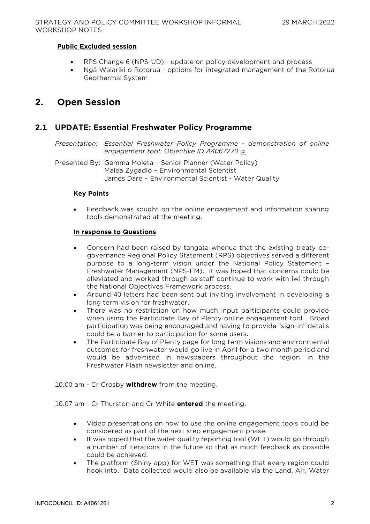#### **Public Excluded session**

- RPS Change 6 (NPS-UD) update on policy development and process
- Ngā Waiariki o Rotorua options for integrated management of the Rotorua Geothermal System

## **2. Open Session**

#### **2.1 UPDATE: Essential Freshwater Policy Programme**

*Presentation: Essential Freshwater Policy Programme - demonstration of online engagement tool: Objective ID A4067270* [⇨](../../../RedirectToInvalidFileName.aspx?FileName=SPW_20220329_MAT_3499.PDF#PAGE=2)

Presented By: Gemma Moleta – Senior Planner (Water Policy) Malea Zygadlo – Environmental Scientist James Dare – Environmental Scientist - Water Quality

#### **Key Points**

• Feedback was sought on the online engagement and information sharing tools demonstrated at the meeting.

#### **In response to Questions**

- Concern had been raised by tangata whenua that the existing treaty cogovernance Regional Policy Statement (RPS) objectives served a different purpose to a long-term vision under the National Policy Statement – Freshwater Management (NPS-FM). It was hoped that concerns could be alleviated and worked through as staff continue to work with iwi through the National Objectives Framework process.
- Around 40 letters had been sent out inviting involvement in developing a long term vision for freshwater.
- There was no restriction on how much input participants could provide when using the Participate Bay of Plenty online engagement tool. Broad participation was being encouraged and having to provide "sign-in" details could be a barrier to participation for some users.
- The Participate Bay of Plenty page for long term visions and environmental outcomes for freshwater would go live in April for a two month period and would be advertised in newspapers throughout the region, in the Freshwater Flash newsletter and online.

10.00 am - Cr Crosby **withdrew** from the meeting.

10.07 am - Cr Thurston and Cr White **entered** the meeting.

- Video presentations on how to use the online engagement tools could be considered as part of the next step engagement phase.
- It was hoped that the water quality reporting tool (WET) would go through a number of iterations in the future so that as much feedback as possible could be achieved.
- The platform (Shiny app) for WET was something that every region could hook into. Data collected would also be available via the Land, Air, Water